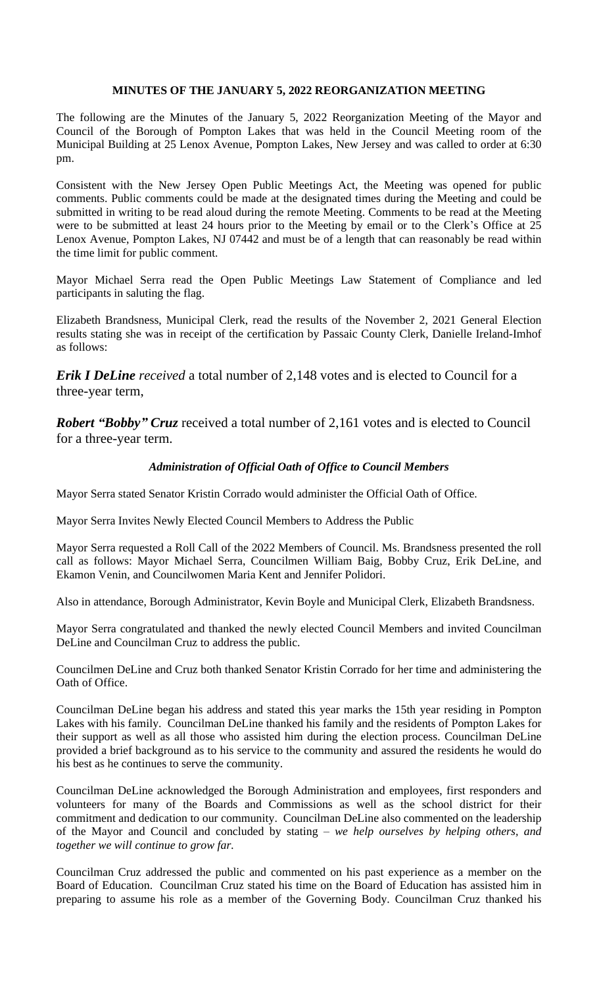# **MINUTES OF THE JANUARY 5, 2022 REORGANIZATION MEETING**

The following are the Minutes of the January 5, 2022 Reorganization Meeting of the Mayor and Council of the Borough of Pompton Lakes that was held in the Council Meeting room of the Municipal Building at 25 Lenox Avenue, Pompton Lakes, New Jersey and was called to order at 6:30 pm.

Consistent with the New Jersey Open Public Meetings Act, the Meeting was opened for public comments. Public comments could be made at the designated times during the Meeting and could be submitted in writing to be read aloud during the remote Meeting. Comments to be read at the Meeting were to be submitted at least 24 hours prior to the Meeting by email or to the Clerk's Office at 25 Lenox Avenue, Pompton Lakes, NJ 07442 and must be of a length that can reasonably be read within the time limit for public comment.

Mayor Michael Serra read the Open Public Meetings Law Statement of Compliance and led participants in saluting the flag.

Elizabeth Brandsness, Municipal Clerk, read the results of the November 2, 2021 General Election results stating she was in receipt of the certification by Passaic County Clerk, Danielle Ireland-Imhof as follows:

*Erik I DeLine received* a total number of 2,148 votes and is elected to Council for a three-year term,

*Robert "Bobby" Cruz* received a total number of 2,161 votes and is elected to Council for a three-year term.

# *Administration of Official Oath of Office to Council Members*

Mayor Serra stated Senator Kristin Corrado would administer the Official Oath of Office.

Mayor Serra Invites Newly Elected Council Members to Address the Public

Mayor Serra requested a Roll Call of the 2022 Members of Council. Ms. Brandsness presented the roll call as follows: Mayor Michael Serra, Councilmen William Baig, Bobby Cruz, Erik DeLine, and Ekamon Venin, and Councilwomen Maria Kent and Jennifer Polidori.

Also in attendance, Borough Administrator, Kevin Boyle and Municipal Clerk, Elizabeth Brandsness.

Mayor Serra congratulated and thanked the newly elected Council Members and invited Councilman DeLine and Councilman Cruz to address the public.

Councilmen DeLine and Cruz both thanked Senator Kristin Corrado for her time and administering the Oath of Office.

Councilman DeLine began his address and stated this year marks the 15th year residing in Pompton Lakes with his family. Councilman DeLine thanked his family and the residents of Pompton Lakes for their support as well as all those who assisted him during the election process. Councilman DeLine provided a brief background as to his service to the community and assured the residents he would do his best as he continues to serve the community.

Councilman DeLine acknowledged the Borough Administration and employees, first responders and volunteers for many of the Boards and Commissions as well as the school district for their commitment and dedication to our community. Councilman DeLine also commented on the leadership of the Mayor and Council and concluded by stating *– we help ourselves by helping others, and together we will continue to grow far.* 

Councilman Cruz addressed the public and commented on his past experience as a member on the Board of Education. Councilman Cruz stated his time on the Board of Education has assisted him in preparing to assume his role as a member of the Governing Body. Councilman Cruz thanked his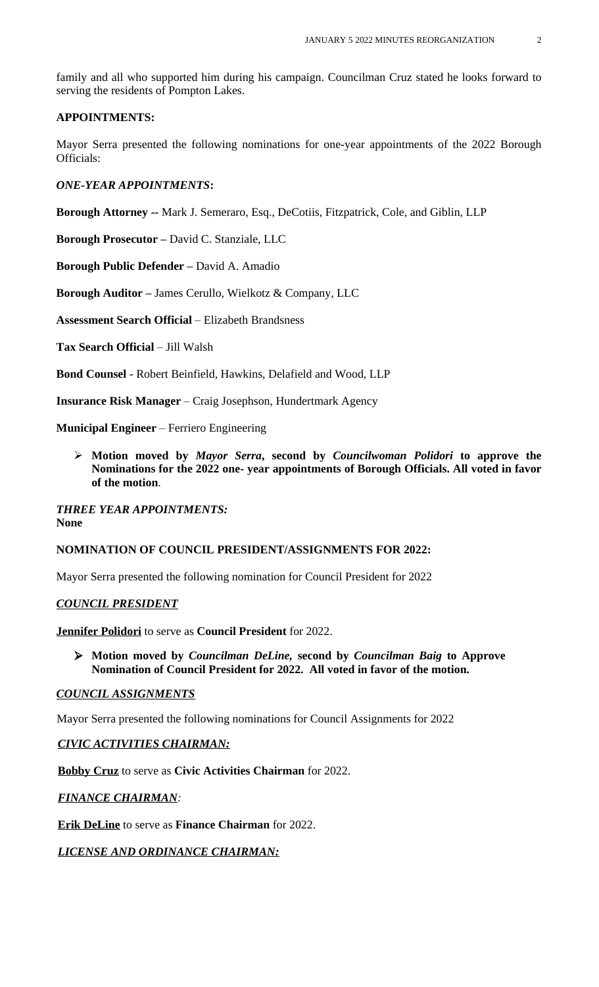family and all who supported him during his campaign. Councilman Cruz stated he looks forward to serving the residents of Pompton Lakes.

### **APPOINTMENTS:**

Mayor Serra presented the following nominations for one-year appointments of the 2022 Borough Officials:

*ONE-YEAR APPOINTMENTS***:**

**Borough Attorney --** Mark J. Semeraro, Esq., DeCotiis, Fitzpatrick, Cole, and Giblin, LLP

**Borough Prosecutor –** David C. Stanziale, LLC

**Borough Public Defender –** David A. Amadio

**Borough Auditor –** James Cerullo, Wielkotz & Company, LLC

**Assessment Search Official** – Elizabeth Brandsness

**Tax Search Official** – Jill Walsh

**Bond Counsel** - Robert Beinfield, Hawkins, Delafield and Wood, LLP

**Insurance Risk Manager** – Craig Josephson, Hundertmark Agency

**Municipal Engineer** – Ferriero Engineering

 **Motion moved by** *Mayor Serra***, second by** *Councilwoman Polidori* **to approve the Nominations for the 2022 one- year appointments of Borough Officials. All voted in favor of the motion**.

*THREE YEAR APPOINTMENTS:* **None**

# **NOMINATION OF COUNCIL PRESIDENT/ASSIGNMENTS FOR 2022:**

Mayor Serra presented the following nomination for Council President for 2022

# *COUNCIL PRESIDENT*

**Jennifer Polidori** to serve as **Council President** for 2022.

 **Motion moved by** *Councilman DeLine,* **second by** *Councilman Baig* **to Approve Nomination of Council President for 2022. All voted in favor of the motion.**

#### *COUNCIL ASSIGNMENTS*

Mayor Serra presented the following nominations for Council Assignments for 2022

# *CIVIC ACTIVITIES CHAIRMAN:*

**Bobby Cruz** to serve as **Civic Activities Chairman** for 2022.

# *FINANCE CHAIRMAN:*

**Erik DeLine** to serve as **Finance Chairman** for 2022.

# *LICENSE AND ORDINANCE CHAIRMAN:*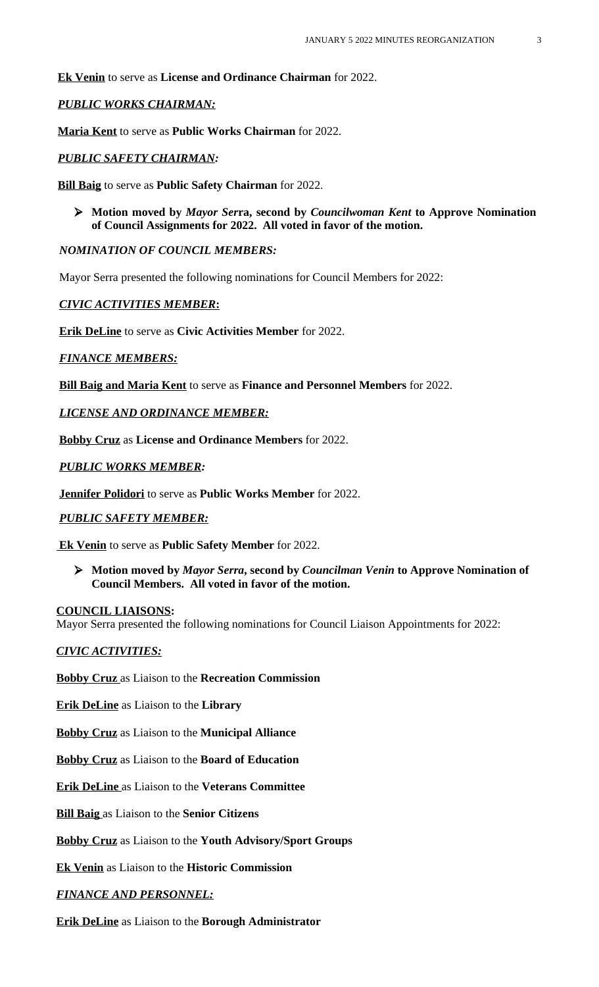**Ek Venin** to serve as **License and Ordinance Chairman** for 2022.

# *PUBLIC WORKS CHAIRMAN:*

**Maria Kent** to serve as **Public Works Chairman** for 2022.

# *PUBLIC SAFETY CHAIRMAN:*

**Bill Baig** to serve as **Public Safety Chairman** for 2022.

 **Motion moved by** *Mayor Ser***ra, second by** *Councilwoman Kent* **to Approve Nomination of Council Assignments for 2022. All voted in favor of the motion.**

# *NOMINATION OF COUNCIL MEMBERS:*

Mayor Serra presented the following nominations for Council Members for 2022:

# *CIVIC ACTIVITIES MEMBER***:**

**Erik DeLine** to serve as **Civic Activities Member** for 2022.

# *FINANCE MEMBERS:*

**Bill Baig and Maria Kent** to serve as **Finance and Personnel Members** for 2022.

*LICENSE AND ORDINANCE MEMBER:*

**Bobby Cruz** as **License and Ordinance Members** for 2022.

# *PUBLIC WORKS MEMBER:*

**Jennifer Polidori** to serve as **Public Works Member** for 2022.

# *PUBLIC SAFETY MEMBER:*

 **Ek Venin** to serve as **Public Safety Member** for 2022.

 **Motion moved by** *Mayor Serra***, second by** *Councilman Venin* **to Approve Nomination of Council Members. All voted in favor of the motion.**

# **COUNCIL LIAISONS:**

Mayor Serra presented the following nominations for Council Liaison Appointments for 2022:

# *CIVIC ACTIVITIES:*

**Bobby Cruz** as Liaison to the **Recreation Commission**

**Erik DeLine** as Liaison to the **Library**

**Bobby Cruz** as Liaison to the **Municipal Alliance**

**Bobby Cruz** as Liaison to the **Board of Education**

**Erik DeLine** as Liaison to the **Veterans Committee**

**Bill Baig** as Liaison to the **Senior Citizens**

**Bobby Cruz** as Liaison to the **Youth Advisory/Sport Groups**

**Ek Venin** as Liaison to the **Historic Commission**

# *FINANCE AND PERSONNEL:*

**Erik DeLine** as Liaison to the **Borough Administrator**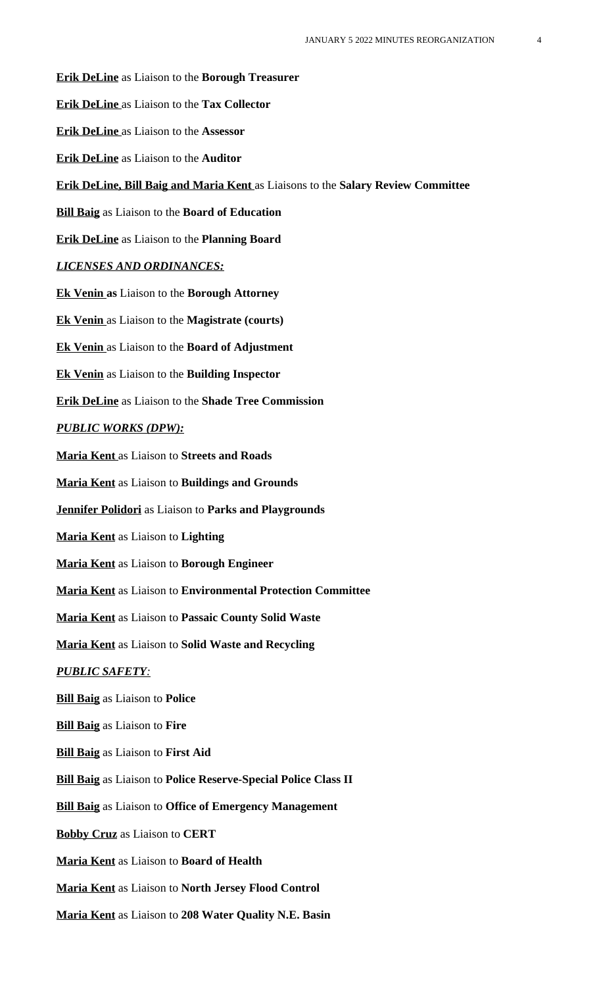**Erik DeLine** as Liaison to the **Borough Treasurer Erik DeLine** as Liaison to the **Tax Collector Erik DeLine** as Liaison to the **Assessor Erik DeLine** as Liaison to the **Auditor Erik DeLine, Bill Baig and Maria Kent** as Liaisons to the **Salary Review Committee Bill Baig** as Liaison to the **Board of Education Erik DeLine** as Liaison to the **Planning Board** *LICENSES AND ORDINANCES:* **Ek Venin as** Liaison to the **Borough Attorney Ek Venin** as Liaison to the **Magistrate (courts) Ek Venin** as Liaison to the **Board of Adjustment Ek Venin** as Liaison to the **Building Inspector Erik DeLine** as Liaison to the **Shade Tree Commission** *PUBLIC WORKS (DPW):* **Maria Kent** as Liaison to **Streets and Roads Maria Kent** as Liaison to **Buildings and Grounds Jennifer Polidori** as Liaison to **Parks and Playgrounds Maria Kent** as Liaison to **Lighting Maria Kent** as Liaison to **Borough Engineer Maria Kent** as Liaison to **Environmental Protection Committee Maria Kent** as Liaison to **Passaic County Solid Waste Maria Kent** as Liaison to **Solid Waste and Recycling** *PUBLIC SAFETY:* **Bill Baig** as Liaison to **Police Bill Baig** as Liaison to **Fire Bill Baig** as Liaison to **First Aid Bill Baig** as Liaison to **Police Reserve-Special Police Class II Bill Baig** as Liaison to **Office of Emergency Management Bobby Cruz** as Liaison to **CERT Maria Kent** as Liaison to **Board of Health Maria Kent** as Liaison to **North Jersey Flood Control Maria Kent** as Liaison to **208 Water Quality N.E. Basin**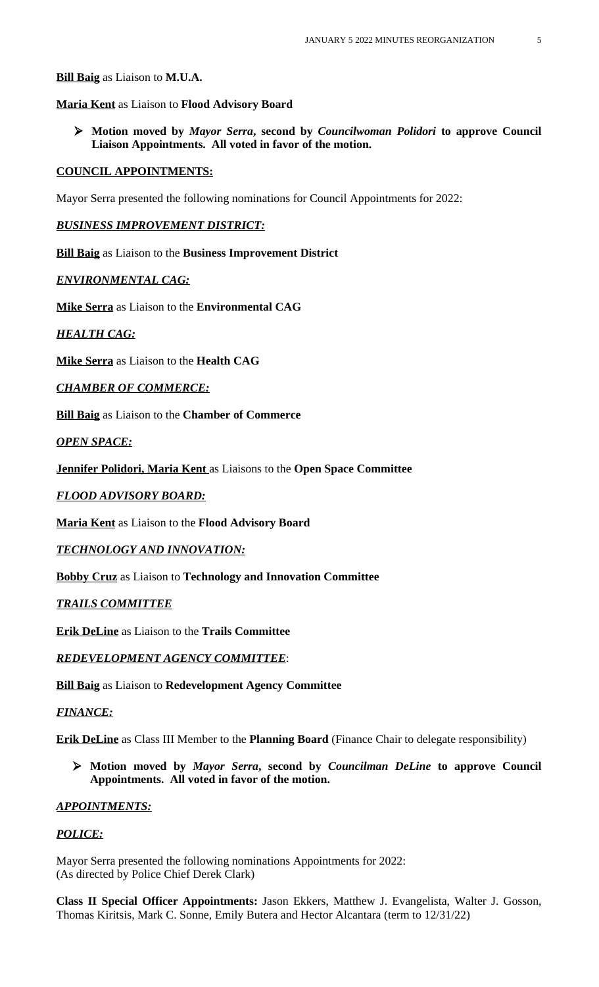**Bill Baig** as Liaison to **M.U.A.**

**Maria Kent** as Liaison to **Flood Advisory Board**

 **Motion moved by** *Mayor Serra***, second by** *Councilwoman Polidori* **to approve Council Liaison Appointments. All voted in favor of the motion.**

#### **COUNCIL APPOINTMENTS:**

Mayor Serra presented the following nominations for Council Appointments for 2022:

*BUSINESS IMPROVEMENT DISTRICT:*

**Bill Baig** as Liaison to the **Business Improvement District**

#### *ENVIRONMENTAL CAG:*

**Mike Serra** as Liaison to the **Environmental CAG**

*HEALTH CAG:*

**Mike Serra** as Liaison to the **Health CAG**

*CHAMBER OF COMMERCE:*

**Bill Baig** as Liaison to the **Chamber of Commerce**

*OPEN SPACE:*

**Jennifer Polidori, Maria Kent** as Liaisons to the **Open Space Committee**

#### *FLOOD ADVISORY BOARD:*

**Maria Kent** as Liaison to the **Flood Advisory Board**

*TECHNOLOGY AND INNOVATION:*

**Bobby Cruz** as Liaison to **Technology and Innovation Committee**

### *TRAILS COMMITTEE*

**Erik DeLine** as Liaison to the **Trails Committee**

*REDEVELOPMENT AGENCY COMMITTEE*:

**Bill Baig** as Liaison to **Redevelopment Agency Committee**

#### *FINANCE:*

**Erik DeLine** as Class III Member to the **Planning Board** (Finance Chair to delegate responsibility)

 **Motion moved by** *Mayor Serra***, second by** *Councilman DeLine* **to approve Council Appointments. All voted in favor of the motion.**

#### *APPOINTMENTS:*

### *POLICE:*

Mayor Serra presented the following nominations Appointments for 2022: (As directed by Police Chief Derek Clark)

**Class II Special Officer Appointments:** Jason Ekkers, Matthew J. Evangelista, Walter J. Gosson, Thomas Kiritsis, Mark C. Sonne, Emily Butera and Hector Alcantara (term to 12/31/22)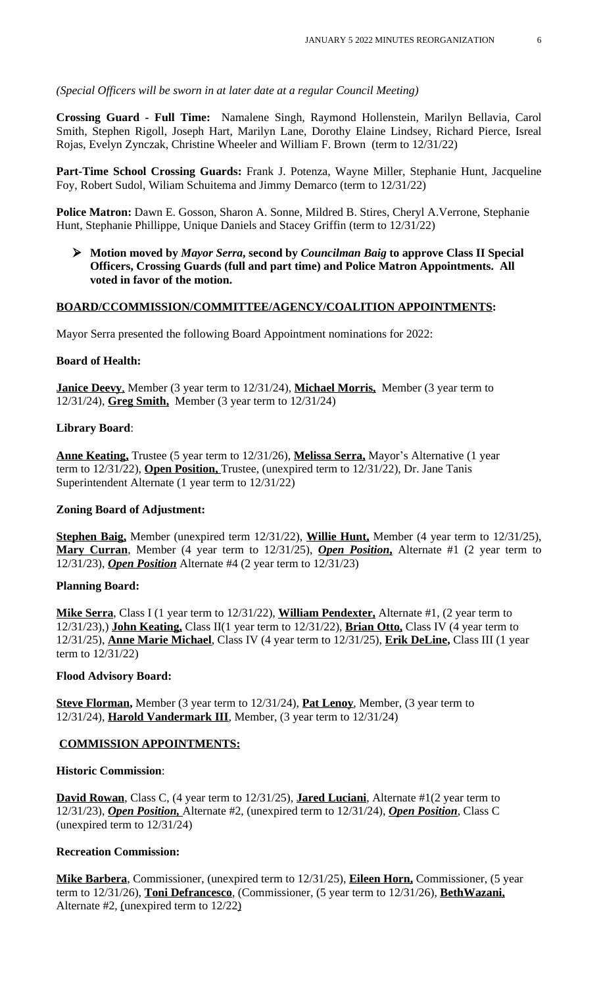*(Special Officers will be sworn in at later date at a regular Council Meeting)*

**Crossing Guard - Full Time:** Namalene Singh, Raymond Hollenstein, Marilyn Bellavia, Carol Smith, Stephen Rigoll, Joseph Hart, Marilyn Lane, Dorothy Elaine Lindsey, Richard Pierce, Isreal Rojas, Evelyn Zynczak, Christine Wheeler and William F. Brown (term to 12/31/22)

**Part-Time School Crossing Guards:** Frank J. Potenza, Wayne Miller, Stephanie Hunt, Jacqueline Foy, Robert Sudol, Wiliam Schuitema and Jimmy Demarco (term to 12/31/22)

**Police Matron:** Dawn E. Gosson, Sharon A. Sonne, Mildred B. Stires, Cheryl A.Verrone, Stephanie Hunt, Stephanie Phillippe, Unique Daniels and Stacey Griffin (term to 12/31/22)

 **Motion moved by** *Mayor Serra***, second by** *Councilman Baig* **to approve Class II Special Officers, Crossing Guards (full and part time) and Police Matron Appointments. All voted in favor of the motion.**

### **BOARD/CCOMMISSION/COMMITTEE/AGENCY/COALITION APPOINTMENTS:**

Mayor Serra presented the following Board Appointment nominations for 2022:

#### **Board of Health:**

**Janice Deevy,** Member (3 year term to 12/31/24), **Michael Morris,** Member (3 year term to 12/31/24), **Greg Smith,** Member (3 year term to 12/31/24)

### **Library Board**:

**Anne Keating,** Trustee (5 year term to 12/31/26), **Melissa Serra,** Mayor's Alternative (1 year term to 12/31/22), **Open Position,** Trustee, (unexpired term to 12/31/22), Dr. Jane Tanis Superintendent Alternate (1 year term to 12/31/22)

#### **Zoning Board of Adjustment:**

**Stephen Baig,** Member (unexpired term 12/31/22), **Willie Hunt,** Member (4 year term to 12/31/25), **Mary Curran**, Member (4 year term to 12/31/25), *Open Position***,** Alternate #1 (2 year term to 12/31/23), *Open Position* Alternate #4 (2 year term to 12/31/23)

### **Planning Board:**

**Mike Serra**, Class I (1 year term to 12/31/22), **William Pendexter,** Alternate #1, (2 year term to 12/31/23),) **John Keating,** Class II(1 year term to 12/31/22), **Brian Otto,** Class IV (4 year term to 12/31/25), **Anne Marie Michael**, Class IV (4 year term to 12/31/25), **Erik DeLine,** Class III (1 year term to 12/31/22)

#### **Flood Advisory Board:**

**Steve Florman,** Member (3 year term to 12/31/24), **Pat Lenoy**, Member, (3 year term to 12/31/24), **Harold Vandermark III**, Member, (3 year term to 12/31/24)

### **COMMISSION APPOINTMENTS:**

### **Historic Commission**:

**David Rowan**, Class C, (4 year term to 12/31/25), **Jared Luciani**, Alternate #1(2 year term to 12/31/23), *Open Position,* Alternate #2, (unexpired term to 12/31/24), *Open Position*, Class C (unexpired term to 12/31/24)

#### **Recreation Commission:**

**Mike Barbera**, Commissioner, (unexpired term to 12/31/25), **Eileen Horn,** Commissioner, (5 year term to 12/31/26), **Toni Defrancesco**, (Commissioner, (5 year term to 12/31/26), **BethWazani,** Alternate #2, (unexpired term to 12/22)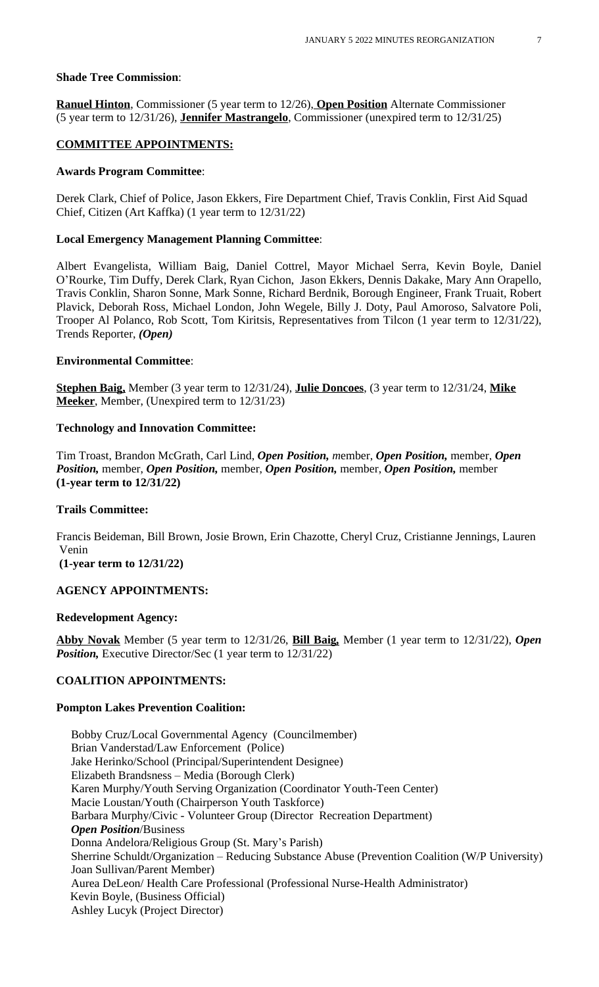### **Shade Tree Commission**:

**Ranuel Hinton**, Commissioner (5 year term to 12/26), **Open Position** Alternate Commissioner (5 year term to 12/31/26), **Jennifer Mastrangelo**, Commissioner (unexpired term to 12/31/25)

#### **COMMITTEE APPOINTMENTS:**

#### **Awards Program Committee**:

Derek Clark, Chief of Police, Jason Ekkers, Fire Department Chief, Travis Conklin, First Aid Squad Chief, Citizen (Art Kaffka) (1 year term to 12/31/22)

#### **Local Emergency Management Planning Committee**:

Albert Evangelista, William Baig, Daniel Cottrel, Mayor Michael Serra, Kevin Boyle, Daniel O'Rourke, Tim Duffy, Derek Clark, Ryan Cichon, Jason Ekkers, Dennis Dakake, Mary Ann Orapello, Travis Conklin, Sharon Sonne, Mark Sonne, Richard Berdnik, Borough Engineer, Frank Truait, Robert Plavick, Deborah Ross, Michael London, John Wegele, Billy J. Doty, Paul Amoroso, Salvatore Poli, Trooper Al Polanco, Rob Scott, Tom Kiritsis, Representatives from Tilcon (1 year term to 12/31/22), Trends Reporter, *(Open)*

#### **Environmental Committee**:

**Stephen Baig,** Member (3 year term to 12/31/24), **Julie Doncoes**, (3 year term to 12/31/24, **Mike Meeker**, Member, (Unexpired term to 12/31/23)

#### **Technology and Innovation Committee:**

Tim Troast, Brandon McGrath, Carl Lind, *Open Position, m*ember, *Open Position,* member, *Open Position,* member, *Open Position,* member, *Open Position,* member, *Open Position,* member **(1-year term to 12/31/22)**

#### **Trails Committee:**

Francis Beideman, Bill Brown, Josie Brown, Erin Chazotte, Cheryl Cruz, Cristianne Jennings, Lauren Venin

**(1-year term to 12/31/22)**

### **AGENCY APPOINTMENTS:**

#### **Redevelopment Agency:**

**Abby Novak** Member (5 year term to 12/31/26, **Bill Baig***,* Member (1 year term to 12/31/22), *Open Position, Executive Director/Sec (1 year term to 12/31/22)* 

#### **COALITION APPOINTMENTS:**

#### **Pompton Lakes Prevention Coalition:**

 Bobby Cruz/Local Governmental Agency (Councilmember) Brian Vanderstad/Law Enforcement (Police) Jake Herinko/School (Principal/Superintendent Designee) Elizabeth Brandsness – Media (Borough Clerk) Karen Murphy/Youth Serving Organization (Coordinator Youth-Teen Center) Macie Loustan/Youth (Chairperson Youth Taskforce) Barbara Murphy/Civic - Volunteer Group (Director Recreation Department) *Open Position*/Business Donna Andelora/Religious Group (St. Mary's Parish) Sherrine Schuldt/Organization – Reducing Substance Abuse (Prevention Coalition (W/P University) Joan Sullivan/Parent Member) Aurea DeLeon/ Health Care Professional (Professional Nurse-Health Administrator) Kevin Boyle, (Business Official) Ashley Lucyk (Project Director)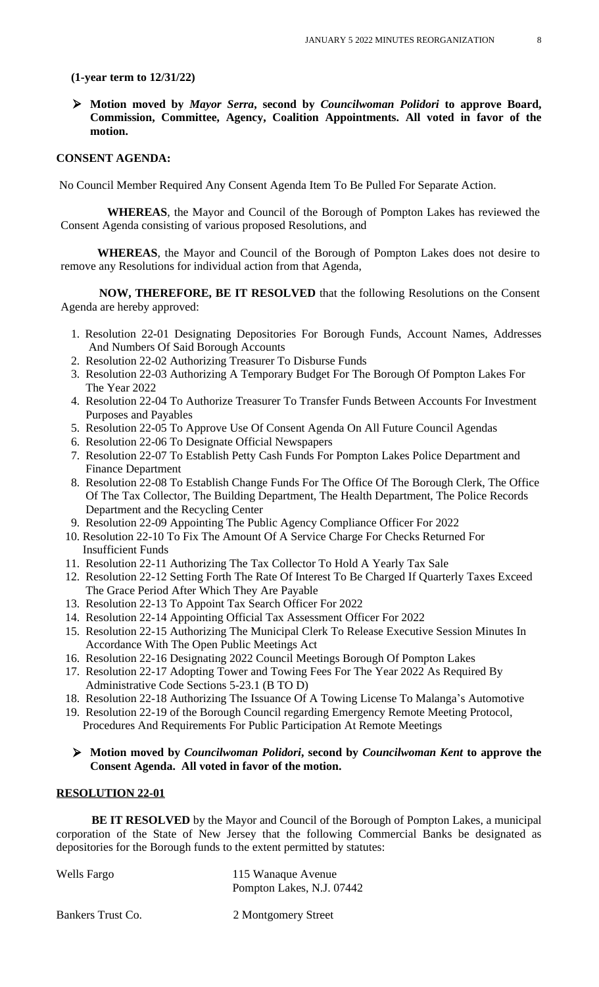#### **(1-year term to 12/31/22)**

 **Motion moved by** *Mayor Serra***, second by** *Councilwoman Polidori* **to approve Board, Commission, Committee, Agency, Coalition Appointments. All voted in favor of the motion.**

#### **CONSENT AGENDA:**

No Council Member Required Any Consent Agenda Item To Be Pulled For Separate Action.

**WHEREAS**, the Mayor and Council of the Borough of Pompton Lakes has reviewed the Consent Agenda consisting of various proposed Resolutions, and

**WHEREAS**, the Mayor and Council of the Borough of Pompton Lakes does not desire to remove any Resolutions for individual action from that Agenda,

**NOW, THEREFORE, BE IT RESOLVED** that the following Resolutions on the Consent Agenda are hereby approved:

- 1. Resolution 22-01 Designating Depositories For Borough Funds, Account Names, Addresses And Numbers Of Said Borough Accounts
- 2. Resolution 22-02 Authorizing Treasurer To Disburse Funds
- 3. Resolution 22-03 Authorizing A Temporary Budget For The Borough Of Pompton Lakes For The Year 2022
- 4. Resolution 22-04 To Authorize Treasurer To Transfer Funds Between Accounts For Investment Purposes and Payables
- 5. Resolution 22-05 To Approve Use Of Consent Agenda On All Future Council Agendas
- 6. Resolution 22-06 To Designate Official Newspapers
- 7. Resolution 22-07 To Establish Petty Cash Funds For Pompton Lakes Police Department and Finance Department
- 8. Resolution 22-08 To Establish Change Funds For The Office Of The Borough Clerk, The Office Of The Tax Collector, The Building Department, The Health Department, The Police Records Department and the Recycling Center
- 9. Resolution 22-09 Appointing The Public Agency Compliance Officer For 2022
- 10. Resolution 22-10 To Fix The Amount Of A Service Charge For Checks Returned For Insufficient Funds
- 11. Resolution 22-11 Authorizing The Tax Collector To Hold A Yearly Tax Sale
- 12. Resolution 22-12 Setting Forth The Rate Of Interest To Be Charged If Quarterly Taxes Exceed The Grace Period After Which They Are Payable
- 13. Resolution 22-13 To Appoint Tax Search Officer For 2022
- 14. Resolution 22-14 Appointing Official Tax Assessment Officer For 2022
- 15. Resolution 22-15 Authorizing The Municipal Clerk To Release Executive Session Minutes In Accordance With The Open Public Meetings Act
- 16. Resolution 22-16 Designating 2022 Council Meetings Borough Of Pompton Lakes
- 17. Resolution 22-17 Adopting Tower and Towing Fees For The Year 2022 As Required By Administrative Code Sections 5-23.1 (B TO D)
- 18. Resolution 22-18 Authorizing The Issuance Of A Towing License To Malanga's Automotive
- 19. Resolution 22-19 of the Borough Council regarding Emergency Remote Meeting Protocol, Procedures And Requirements For Public Participation At Remote Meetings

### **Motion moved by** *Councilwoman Polidori***, second by** *Councilwoman Kent* **to approve the Consent Agenda. All voted in favor of the motion.**

#### **RESOLUTION 22-01**

**BE IT RESOLVED** by the Mayor and Council of the Borough of Pompton Lakes, a municipal corporation of the State of New Jersey that the following Commercial Banks be designated as depositories for the Borough funds to the extent permitted by statutes:

| <b>Wells Fargo</b> | 115 Wanaque Avenue        |
|--------------------|---------------------------|
|                    | Pompton Lakes, N.J. 07442 |

Bankers Trust Co. 2 Montgomery Street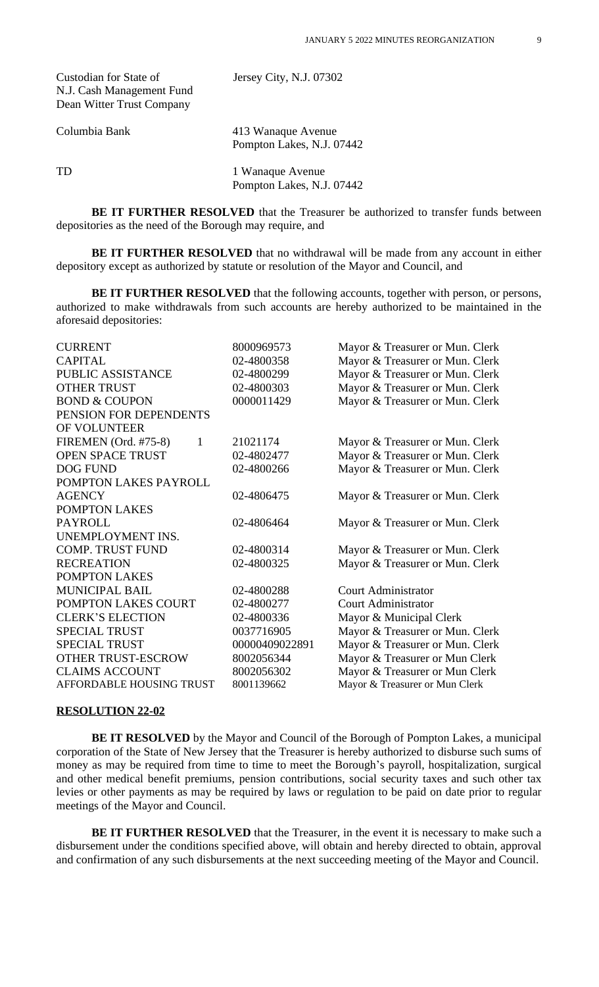| Custodian for State of    | Jersey City, N.J. 07302 |
|---------------------------|-------------------------|
| N.J. Cash Management Fund |                         |
| Dean Witter Trust Company |                         |

Columbia Bank 413 Wanaque Avenue Pompton Lakes, N.J. 07442

TD 1 Wanaque Avenue Pompton Lakes, N.J. 07442

**BE IT FURTHER RESOLVED** that the Treasurer be authorized to transfer funds between depositories as the need of the Borough may require, and

**BE IT FURTHER RESOLVED** that no withdrawal will be made from any account in either depository except as authorized by statute or resolution of the Mayor and Council, and

**BE IT FURTHER RESOLVED** that the following accounts, together with person, or persons, authorized to make withdrawals from such accounts are hereby authorized to be maintained in the aforesaid depositories:

| <b>CURRENT</b>                       | 8000969573     | Mayor & Treasurer or Mun. Clerk |
|--------------------------------------|----------------|---------------------------------|
| <b>CAPITAL</b>                       | 02-4800358     | Mayor & Treasurer or Mun. Clerk |
| PUBLIC ASSISTANCE                    | 02-4800299     | Mayor & Treasurer or Mun. Clerk |
| <b>OTHER TRUST</b>                   | 02-4800303     | Mayor & Treasurer or Mun. Clerk |
| <b>BOND &amp; COUPON</b>             | 0000011429     | Mayor & Treasurer or Mun. Clerk |
| PENSION FOR DEPENDENTS               |                |                                 |
| OF VOLUNTEER                         |                |                                 |
| FIREMEN (Ord. #75-8)<br>$\mathbf{1}$ | 21021174       | Mayor & Treasurer or Mun. Clerk |
| <b>OPEN SPACE TRUST</b>              | 02-4802477     | Mayor & Treasurer or Mun. Clerk |
| <b>DOG FUND</b>                      | 02-4800266     | Mayor & Treasurer or Mun. Clerk |
| POMPTON LAKES PAYROLL                |                |                                 |
| <b>AGENCY</b>                        | 02-4806475     | Mayor & Treasurer or Mun. Clerk |
| POMPTON LAKES                        |                |                                 |
| <b>PAYROLL</b>                       | 02-4806464     | Mayor & Treasurer or Mun. Clerk |
| UNEMPLOYMENT INS.                    |                |                                 |
| <b>COMP. TRUST FUND</b>              | 02-4800314     | Mayor & Treasurer or Mun. Clerk |
| <b>RECREATION</b>                    | 02-4800325     | Mayor & Treasurer or Mun. Clerk |
| POMPTON LAKES                        |                |                                 |
| <b>MUNICIPAL BAIL</b>                | 02-4800288     | <b>Court Administrator</b>      |
| POMPTON LAKES COURT                  | 02-4800277     | <b>Court Administrator</b>      |
| <b>CLERK'S ELECTION</b>              | 02-4800336     | Mayor & Municipal Clerk         |
| <b>SPECIAL TRUST</b>                 | 0037716905     | Mayor & Treasurer or Mun. Clerk |
| <b>SPECIAL TRUST</b>                 | 00000409022891 | Mayor & Treasurer or Mun. Clerk |
| OTHER TRUST-ESCROW                   | 8002056344     | Mayor & Treasurer or Mun Clerk  |
| <b>CLAIMS ACCOUNT</b>                | 8002056302     | Mayor & Treasurer or Mun Clerk  |
| <b>AFFORDABLE HOUSING TRUST</b>      | 8001139662     | Mayor & Treasurer or Mun Clerk  |

#### **RESOLUTION 22-02**

**BE IT RESOLVED** by the Mayor and Council of the Borough of Pompton Lakes, a municipal corporation of the State of New Jersey that the Treasurer is hereby authorized to disburse such sums of money as may be required from time to time to meet the Borough's payroll, hospitalization, surgical and other medical benefit premiums, pension contributions, social security taxes and such other tax levies or other payments as may be required by laws or regulation to be paid on date prior to regular meetings of the Mayor and Council.

**BE IT FURTHER RESOLVED** that the Treasurer, in the event it is necessary to make such a disbursement under the conditions specified above, will obtain and hereby directed to obtain, approval and confirmation of any such disbursements at the next succeeding meeting of the Mayor and Council.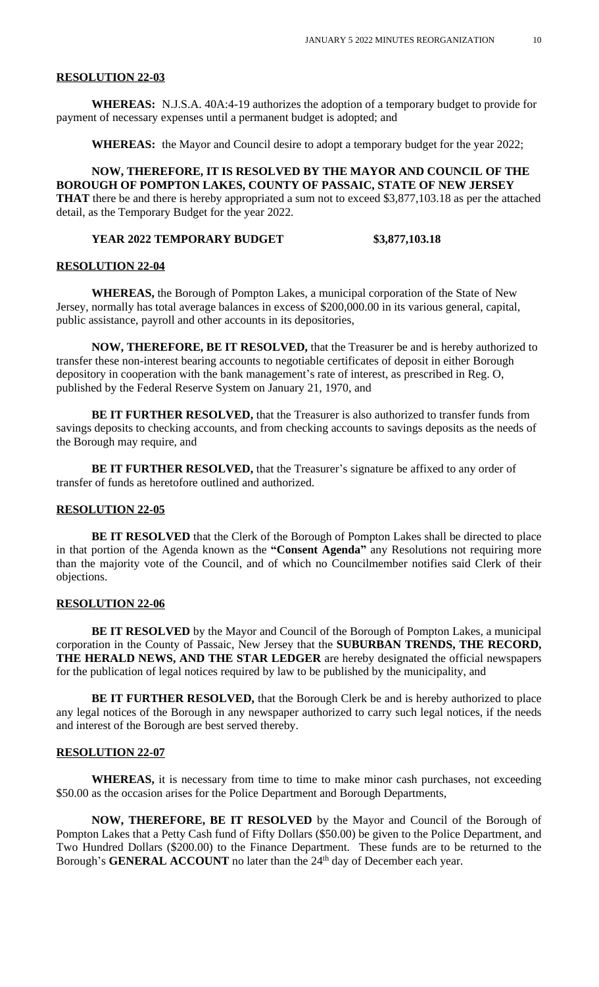#### **RESOLUTION 22-03**

**WHEREAS:** N.J.S.A. 40A:4-19 authorizes the adoption of a temporary budget to provide for payment of necessary expenses until a permanent budget is adopted; and

**WHEREAS:** the Mayor and Council desire to adopt a temporary budget for the year 2022;

**NOW, THEREFORE, IT IS RESOLVED BY THE MAYOR AND COUNCIL OF THE BOROUGH OF POMPTON LAKES, COUNTY OF PASSAIC, STATE OF NEW JERSEY THAT** there be and there is hereby appropriated a sum not to exceed \$3,877,103.18 as per the attached detail, as the Temporary Budget for the year 2022.

# **YEAR 2022 TEMPORARY BUDGET \$3,877,103.18**

#### **RESOLUTION 22-04**

**WHEREAS,** the Borough of Pompton Lakes, a municipal corporation of the State of New Jersey, normally has total average balances in excess of \$200,000.00 in its various general, capital, public assistance, payroll and other accounts in its depositories,

**NOW, THEREFORE, BE IT RESOLVED,** that the Treasurer be and is hereby authorized to transfer these non-interest bearing accounts to negotiable certificates of deposit in either Borough depository in cooperation with the bank management's rate of interest, as prescribed in Reg. O, published by the Federal Reserve System on January 21, 1970, and

**BE IT FURTHER RESOLVED, that the Treasurer is also authorized to transfer funds from** savings deposits to checking accounts, and from checking accounts to savings deposits as the needs of the Borough may require, and

**BE IT FURTHER RESOLVED,** that the Treasurer's signature be affixed to any order of transfer of funds as heretofore outlined and authorized.

#### **RESOLUTION 22-05**

**BE IT RESOLVED** that the Clerk of the Borough of Pompton Lakes shall be directed to place in that portion of the Agenda known as the **"Consent Agenda"** any Resolutions not requiring more than the majority vote of the Council, and of which no Councilmember notifies said Clerk of their objections.

#### **RESOLUTION 22-06**

**BE IT RESOLVED** by the Mayor and Council of the Borough of Pompton Lakes, a municipal corporation in the County of Passaic, New Jersey that the **SUBURBAN TRENDS, THE RECORD, THE HERALD NEWS, AND THE STAR LEDGER** are hereby designated the official newspapers for the publication of legal notices required by law to be published by the municipality, and

**BE IT FURTHER RESOLVED,** that the Borough Clerk be and is hereby authorized to place any legal notices of the Borough in any newspaper authorized to carry such legal notices, if the needs and interest of the Borough are best served thereby.

#### **RESOLUTION 22-07**

**WHEREAS,** it is necessary from time to time to make minor cash purchases, not exceeding \$50.00 as the occasion arises for the Police Department and Borough Departments,

**NOW, THEREFORE, BE IT RESOLVED** by the Mayor and Council of the Borough of Pompton Lakes that a Petty Cash fund of Fifty Dollars (\$50.00) be given to the Police Department, and Two Hundred Dollars (\$200.00) to the Finance Department. These funds are to be returned to the Borough's **GENERAL ACCOUNT** no later than the 24<sup>th</sup> day of December each year.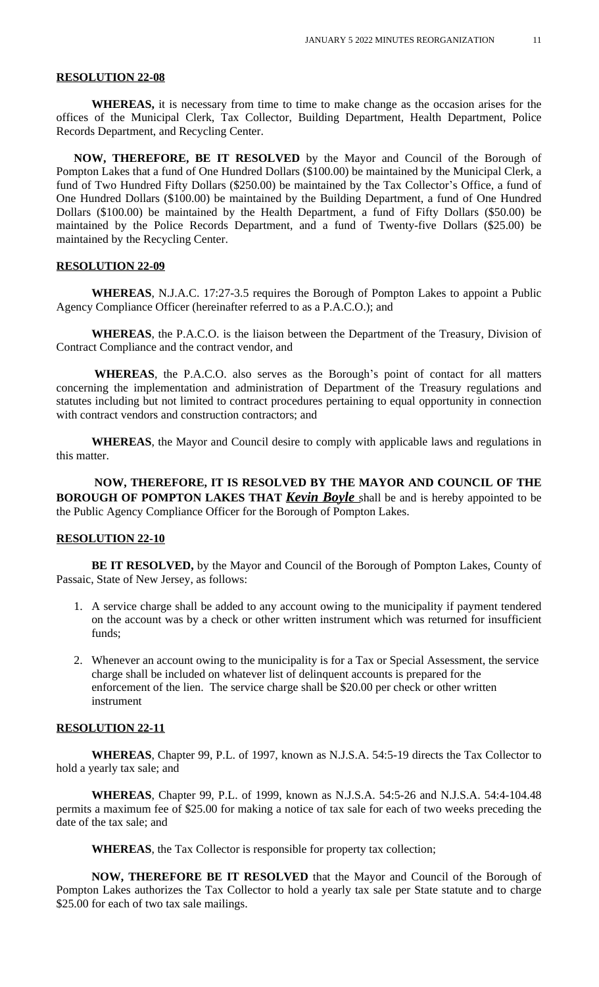### **RESOLUTION 22-08**

**WHEREAS,** it is necessary from time to time to make change as the occasion arises for the offices of the Municipal Clerk, Tax Collector, Building Department, Health Department, Police Records Department, and Recycling Center.

**NOW, THEREFORE, BE IT RESOLVED** by the Mayor and Council of the Borough of Pompton Lakes that a fund of One Hundred Dollars (\$100.00) be maintained by the Municipal Clerk, a fund of Two Hundred Fifty Dollars (\$250.00) be maintained by the Tax Collector's Office, a fund of One Hundred Dollars (\$100.00) be maintained by the Building Department, a fund of One Hundred Dollars (\$100.00) be maintained by the Health Department, a fund of Fifty Dollars (\$50.00) be maintained by the Police Records Department, and a fund of Twenty-five Dollars (\$25.00) be maintained by the Recycling Center.

#### **RESOLUTION 22-09**

 **WHEREAS**, N.J.A.C. 17:27-3.5 requires the Borough of Pompton Lakes to appoint a Public Agency Compliance Officer (hereinafter referred to as a P.A.C.O.); and

 **WHEREAS**, the P.A.C.O. is the liaison between the Department of the Treasury, Division of Contract Compliance and the contract vendor, and

 **WHEREAS**, the P.A.C.O. also serves as the Borough's point of contact for all matters concerning the implementation and administration of Department of the Treasury regulations and statutes including but not limited to contract procedures pertaining to equal opportunity in connection with contract vendors and construction contractors; and

 **WHEREAS**, the Mayor and Council desire to comply with applicable laws and regulations in this matter.

 **NOW, THEREFORE, IT IS RESOLVED BY THE MAYOR AND COUNCIL OF THE BOROUGH OF POMPTON LAKES THAT** *Kevin Boyle* shall be and is hereby appointed to be the Public Agency Compliance Officer for the Borough of Pompton Lakes.

### **RESOLUTION 22-10**

**BE IT RESOLVED,** by the Mayor and Council of the Borough of Pompton Lakes, County of Passaic, State of New Jersey, as follows:

- 1. A service charge shall be added to any account owing to the municipality if payment tendered on the account was by a check or other written instrument which was returned for insufficient funds;
- 2. Whenever an account owing to the municipality is for a Tax or Special Assessment, the service charge shall be included on whatever list of delinquent accounts is prepared for the enforcement of the lien. The service charge shall be \$20.00 per check or other written instrument

### **RESOLUTION 22-11**

**WHEREAS**, Chapter 99, P.L. of 1997, known as N.J.S.A. 54:5-19 directs the Tax Collector to hold a yearly tax sale; and

**WHEREAS**, Chapter 99, P.L. of 1999, known as N.J.S.A. 54:5-26 and N.J.S.A. 54:4-104.48 permits a maximum fee of \$25.00 for making a notice of tax sale for each of two weeks preceding the date of the tax sale; and

**WHEREAS**, the Tax Collector is responsible for property tax collection;

**NOW, THEREFORE BE IT RESOLVED** that the Mayor and Council of the Borough of Pompton Lakes authorizes the Tax Collector to hold a yearly tax sale per State statute and to charge \$25.00 for each of two tax sale mailings.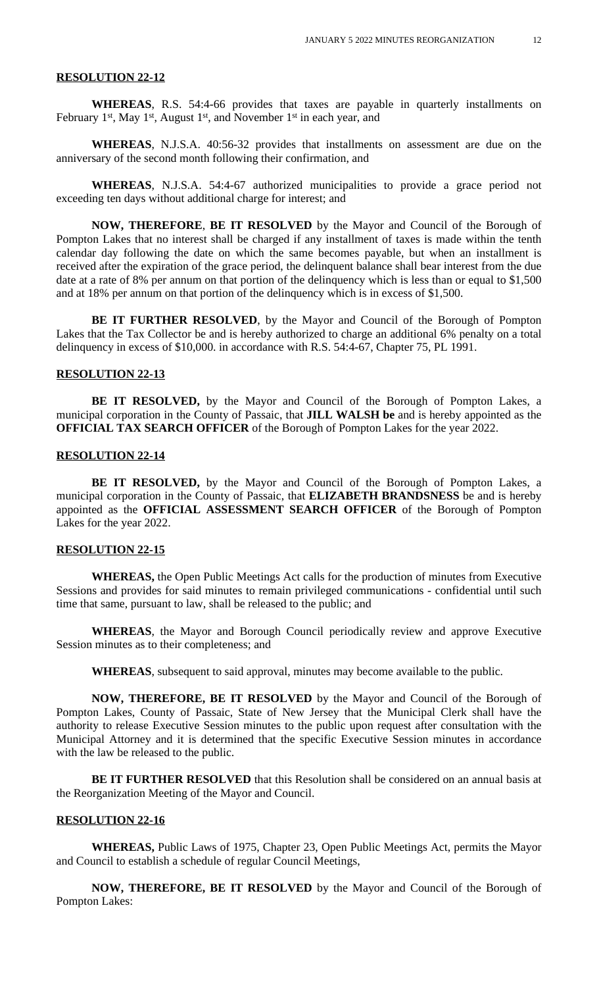### **RESOLUTION 22-12**

**WHEREAS**, R.S. 54:4-66 provides that taxes are payable in quarterly installments on February 1<sup>st</sup>, May 1<sup>st</sup>, August 1<sup>st</sup>, and November 1<sup>st</sup> in each year, and

 **WHEREAS**, N.J.S.A. 40:56-32 provides that installments on assessment are due on the anniversary of the second month following their confirmation, and

 **WHEREAS**, N.J.S.A. 54:4-67 authorized municipalities to provide a grace period not exceeding ten days without additional charge for interest; and

 **NOW, THEREFORE**, **BE IT RESOLVED** by the Mayor and Council of the Borough of Pompton Lakes that no interest shall be charged if any installment of taxes is made within the tenth calendar day following the date on which the same becomes payable, but when an installment is received after the expiration of the grace period, the delinquent balance shall bear interest from the due date at a rate of 8% per annum on that portion of the delinquency which is less than or equal to \$1,500 and at 18% per annum on that portion of the delinquency which is in excess of \$1,500.

 **BE IT FURTHER RESOLVED**, by the Mayor and Council of the Borough of Pompton Lakes that the Tax Collector be and is hereby authorized to charge an additional 6% penalty on a total delinquency in excess of \$10,000. in accordance with R.S. 54:4-67, Chapter 75, PL 1991.

#### **RESOLUTION 22-13**

**BE IT RESOLVED,** by the Mayor and Council of the Borough of Pompton Lakes, a municipal corporation in the County of Passaic, that **JILL WALSH be** and is hereby appointed as the **OFFICIAL TAX SEARCH OFFICER** of the Borough of Pompton Lakes for the year 2022.

### **RESOLUTION 22-14**

**BE IT RESOLVED,** by the Mayor and Council of the Borough of Pompton Lakes, a municipal corporation in the County of Passaic, that **ELIZABETH BRANDSNESS** be and is hereby appointed as the **OFFICIAL ASSESSMENT SEARCH OFFICER** of the Borough of Pompton Lakes for the year 2022.

#### **RESOLUTION 22-15**

**WHEREAS,** the Open Public Meetings Act calls for the production of minutes from Executive Sessions and provides for said minutes to remain privileged communications - confidential until such time that same, pursuant to law, shall be released to the public; and

**WHEREAS**, the Mayor and Borough Council periodically review and approve Executive Session minutes as to their completeness; and

**WHEREAS**, subsequent to said approval, minutes may become available to the public.

**NOW, THEREFORE, BE IT RESOLVED** by the Mayor and Council of the Borough of Pompton Lakes, County of Passaic, State of New Jersey that the Municipal Clerk shall have the authority to release Executive Session minutes to the public upon request after consultation with the Municipal Attorney and it is determined that the specific Executive Session minutes in accordance with the law be released to the public.

**BE IT FURTHER RESOLVED** that this Resolution shall be considered on an annual basis at the Reorganization Meeting of the Mayor and Council.

### **RESOLUTION 22-16**

**WHEREAS,** Public Laws of 1975, Chapter 23, Open Public Meetings Act, permits the Mayor and Council to establish a schedule of regular Council Meetings,

 **NOW, THEREFORE, BE IT RESOLVED** by the Mayor and Council of the Borough of Pompton Lakes: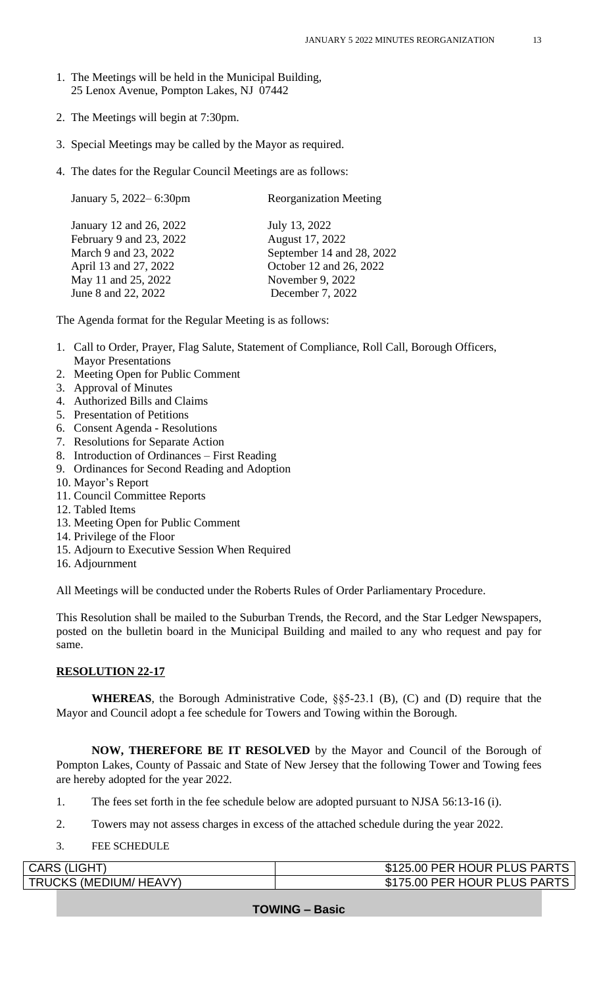- 1. The Meetings will be held in the Municipal Building, 25 Lenox Avenue, Pompton Lakes, NJ 07442
- 2. The Meetings will begin at 7:30pm.
- 3. Special Meetings may be called by the Mayor as required.
- 4. The dates for the Regular Council Meetings are as follows:

| January 5, 2022–6:30pm                                                                              | <b>Reorganization Meeting</b>                                                            |
|-----------------------------------------------------------------------------------------------------|------------------------------------------------------------------------------------------|
| January 12 and 26, 2022<br>February 9 and 23, 2022<br>March 9 and 23, 2022<br>April 13 and 27, 2022 | July 13, 2022<br>August 17, 2022<br>September 14 and 28, 2022<br>October 12 and 26, 2022 |
| May 11 and 25, 2022                                                                                 | November 9, 2022                                                                         |
| June 8 and 22, 2022                                                                                 | December 7, 2022                                                                         |
|                                                                                                     |                                                                                          |

The Agenda format for the Regular Meeting is as follows:

- 1. Call to Order, Prayer, Flag Salute, Statement of Compliance, Roll Call, Borough Officers, Mayor Presentations
- 2. Meeting Open for Public Comment
- 3. Approval of Minutes
- 4. Authorized Bills and Claims
- 5. Presentation of Petitions
- 6. Consent Agenda Resolutions
- 7. Resolutions for Separate Action
- 8. Introduction of Ordinances First Reading
- 9. Ordinances for Second Reading and Adoption
- 10. Mayor's Report
- 11. Council Committee Reports
- 12. Tabled Items
- 13. Meeting Open for Public Comment
- 14. Privilege of the Floor
- 15. Adjourn to Executive Session When Required
- 16. Adjournment

All Meetings will be conducted under the Roberts Rules of Order Parliamentary Procedure.

This Resolution shall be mailed to the Suburban Trends, the Record, and the Star Ledger Newspapers, posted on the bulletin board in the Municipal Building and mailed to any who request and pay for same.

# **RESOLUTION 22-17**

**WHEREAS**, the Borough Administrative Code, §§5-23.1 (B), (C) and (D) require that the Mayor and Council adopt a fee schedule for Towers and Towing within the Borough.

**NOW, THEREFORE BE IT RESOLVED** by the Mayor and Council of the Borough of Pompton Lakes, County of Passaic and State of New Jersey that the following Tower and Towing fees are hereby adopted for the year 2022.

- 1. The fees set forth in the fee schedule below are adopted pursuant to NJSA 56:13-16 (i).
- 2. Towers may not assess charges in excess of the attached schedule during the year 2022.
- 3. FEE SCHEDULE

| CARS (LIGHT)                  | \$125.00 PER HOUR PLUS PARTS |
|-------------------------------|------------------------------|
| <b>TRUCKS (MEDIUM/ HEAVY)</b> | \$175.00 PER HOUR PLUS PARTS |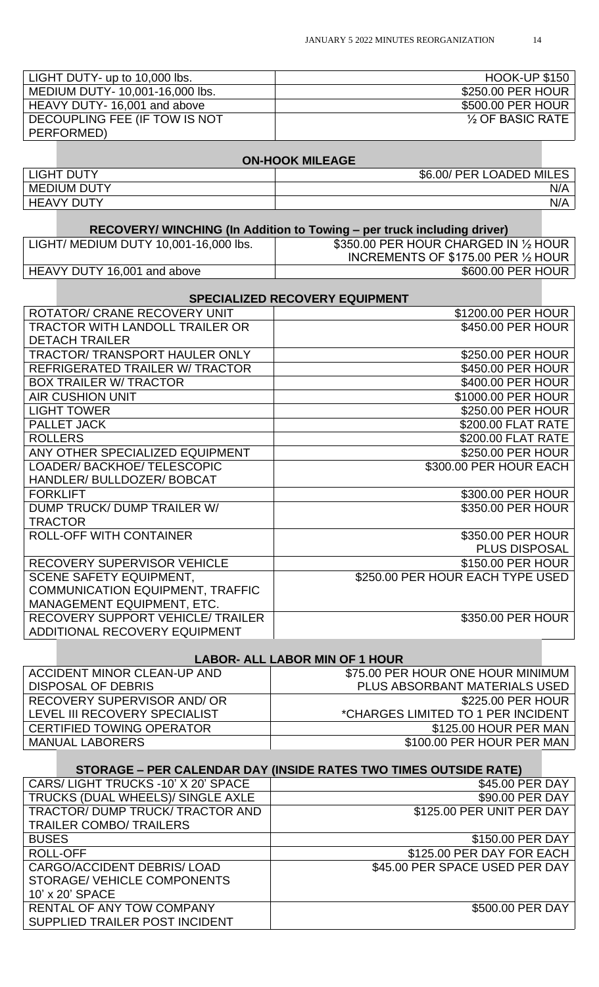| LIGHT DUTY- up to 10,000 lbs.   | <b>HOOK-UP \$150</b>          |
|---------------------------------|-------------------------------|
| MEDIUM DUTY- 10,001-16,000 lbs. | \$250.00 PER HOUR             |
| HEAVY DUTY-16,001 and above     | \$500.00 PER HOUR             |
| DECOUPLING FEE (IF TOW IS NOT   | $\frac{1}{2}$ OF BASIC RATE I |
| PERFORMED)                      |                               |

# **ON-HOOK MILEAGE**

| <b>LIGHT DUTY</b>  | \$6.00/<br><b>PER</b><br><b>LOADED MILES</b> |
|--------------------|----------------------------------------------|
| <b>MEDIUM DUTY</b> | N/A                                          |
| <b>HEAVY DUTY</b>  | N/A                                          |
|                    |                                              |

# **RECOVERY/ WINCHING (In Addition to Towing – per truck including driver)**<br>| LIGHT/ MEDIUM DUTY 10,001-16,000 lbs. | \$350.00 PER HOUR CHARGED \$350.00 PER HOUR CHARGED IN 1/2 HOUR INCREMENTS OF \$175.00 PER 1/2 HOUR HEAVY DUTY 16,001 and above

| <b>SPECIALIZED RECOVERY EQUIPMENT</b>   |                                  |  |
|-----------------------------------------|----------------------------------|--|
| ROTATOR/ CRANE RECOVERY UNIT            | \$1200.00 PER HOUR               |  |
| <b>TRACTOR WITH LANDOLL TRAILER OR</b>  | \$450.00 PER HOUR                |  |
| <b>DETACH TRAILER</b>                   |                                  |  |
| <b>TRACTOR/ TRANSPORT HAULER ONLY</b>   | \$250.00 PER HOUR                |  |
| <b>REFRIGERATED TRAILER W/ TRACTOR</b>  | \$450.00 PER HOUR                |  |
| <b>BOX TRAILER W/ TRACTOR</b>           | \$400.00 PER HOUR                |  |
| <b>AIR CUSHION UNIT</b>                 | \$1000.00 PER HOUR               |  |
| <b>LIGHT TOWER</b>                      | \$250.00 PER HOUR                |  |
| <b>PALLET JACK</b>                      | \$200.00 FLAT RATE               |  |
| <b>ROLLERS</b>                          | \$200.00 FLAT RATE               |  |
| ANY OTHER SPECIALIZED EQUIPMENT         | \$250.00 PER HOUR                |  |
| LOADER/BACKHOE/TELESCOPIC               | \$300.00 PER HOUR EACH           |  |
| HANDLER/BULLDOZER/BOBCAT                |                                  |  |
| <b>FORKLIFT</b>                         | \$300.00 PER HOUR                |  |
| DUMP TRUCK/ DUMP TRAILER W/             | \$350.00 PER HOUR                |  |
| <b>TRACTOR</b>                          |                                  |  |
| <b>ROLL-OFF WITH CONTAINER</b>          | \$350.00 PER HOUR                |  |
|                                         | PLUS DISPOSAL                    |  |
| RECOVERY SUPERVISOR VEHICLE             | \$150.00 PER HOUR                |  |
| <b>SCENE SAFETY EQUIPMENT,</b>          | \$250.00 PER HOUR EACH TYPE USED |  |
| <b>COMMUNICATION EQUIPMENT, TRAFFIC</b> |                                  |  |
| MANAGEMENT EQUIPMENT, ETC.              |                                  |  |
| RECOVERY SUPPORT VEHICLE/ TRAILER       | \$350.00 PER HOUR                |  |
| <b>ADDITIONAL RECOVERY EQUIPMENT</b>    |                                  |  |

|                                    | <b>LABOR- ALL LABOR MIN OF 1 HOUR</b> |  |
|------------------------------------|---------------------------------------|--|
| ACCIDENT MINOR CLEAN-UP AND        | \$75.00 PER HOUR ONE HOUR MINIMUM     |  |
| DISPOSAL OF DEBRIS                 | PLUS ABSORBANT MATERIALS USED         |  |
| <b>RECOVERY SUPERVISOR AND/ OR</b> | \$225.00 PER HOUR                     |  |
| LEVEL III RECOVERY SPECIALIST      | *CHARGES LIMITED TO 1 PER INCIDENT    |  |
| <b>CERTIFIED TOWING OPERATOR</b>   | \$125.00 HOUR PER MAN                 |  |
| <b>MANUAL LABORERS</b>             | \$100.00 PER HOUR PER MAN             |  |
|                                    |                                       |  |

|                                    | STORAGE – PER CALENDAR DAY (INSIDE RATES TWO TIMES OUTSIDE RATE) |
|------------------------------------|------------------------------------------------------------------|
| CARS/LIGHT TRUCKS -10' X 20' SPACE | \$45.00 PER DAY                                                  |
| TRUCKS (DUAL WHEELS)/ SINGLE AXLE  | \$90.00 PER DAY                                                  |
| TRACTOR/ DUMP TRUCK/ TRACTOR AND   | \$125.00 PER UNIT PER DAY                                        |
| <b>TRAILER COMBO/ TRAILERS</b>     |                                                                  |
| <b>BUSES</b>                       | \$150.00 PER DAY                                                 |
| ROLL-OFF                           | \$125.00 PER DAY FOR EACH                                        |
| CARGO/ACCIDENT DEBRIS/ LOAD        | \$45.00 PER SPACE USED PER DAY                                   |
| STORAGE/ VEHICLE COMPONENTS        |                                                                  |
| 10' x 20' SPACE                    |                                                                  |
| RENTAL OF ANY TOW COMPANY          | \$500.00 PER DAY                                                 |
| SUPPLIED TRAILER POST INCIDENT     |                                                                  |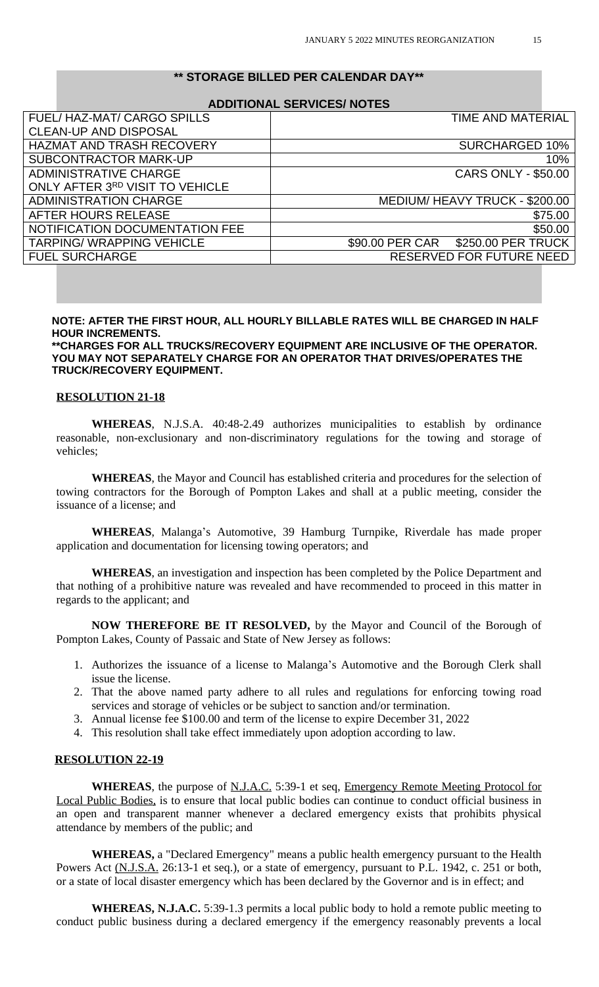### **\*\* STORAGE BILLED PER CALENDAR DAY\*\***

#### **ADDITIONAL SERVICES/ NOTES**

| FUEL/HAZ-MAT/CARGO SPILLS        | <b>TIME AND MATERIAL</b>              |
|----------------------------------|---------------------------------------|
| <b>CLEAN-UP AND DISPOSAL</b>     |                                       |
| <b>HAZMAT AND TRASH RECOVERY</b> | <b>SURCHARGED 10%</b>                 |
| SUBCONTRACTOR MARK-UP            | 10%                                   |
| <b>ADMINISTRATIVE CHARGE</b>     | <b>CARS ONLY - \$50.00</b>            |
| ONLY AFTER 3RD VISIT TO VEHICLE  |                                       |
| <b>ADMINISTRATION CHARGE</b>     | MEDIUM/HEAVY TRUCK - \$200.00         |
| AFTER HOURS RELEASE              | \$75.00                               |
| NOTIFICATION DOCUMENTATION FEE   | \$50.00                               |
| <b>TARPING/ WRAPPING VEHICLE</b> | \$90.00 PER CAR<br>\$250.00 PER TRUCK |
| <b>FUEL SURCHARGE</b>            | RESERVED FOR FUTURE NEED              |

# **NOTE: AFTER THE FIRST HOUR, ALL HOURLY BILLABLE RATES WILL BE CHARGED IN HALF HOUR INCREMENTS.**

**\*\*CHARGES FOR ALL TRUCKS/RECOVERY EQUIPMENT ARE INCLUSIVE OF THE OPERATOR. YOU MAY NOT SEPARATELY CHARGE FOR AN OPERATOR THAT DRIVES/OPERATES THE TRUCK/RECOVERY EQUIPMENT.** 

#### **RESOLUTION 21-18**

**WHEREAS**, N.J.S.A. 40:48-2.49 authorizes municipalities to establish by ordinance reasonable, non-exclusionary and non-discriminatory regulations for the towing and storage of vehicles;

**WHEREAS**, the Mayor and Council has established criteria and procedures for the selection of towing contractors for the Borough of Pompton Lakes and shall at a public meeting, consider the issuance of a license; and

**WHEREAS**, Malanga's Automotive, 39 Hamburg Turnpike, Riverdale has made proper application and documentation for licensing towing operators; and

**WHEREAS**, an investigation and inspection has been completed by the Police Department and that nothing of a prohibitive nature was revealed and have recommended to proceed in this matter in regards to the applicant; and

**NOW THEREFORE BE IT RESOLVED,** by the Mayor and Council of the Borough of Pompton Lakes, County of Passaic and State of New Jersey as follows:

- 1. Authorizes the issuance of a license to Malanga's Automotive and the Borough Clerk shall issue the license.
- 2. That the above named party adhere to all rules and regulations for enforcing towing road services and storage of vehicles or be subject to sanction and/or termination.
- 3. Annual license fee \$100.00 and term of the license to expire December 31, 2022
- 4. This resolution shall take effect immediately upon adoption according to law.

#### **RESOLUTION 22-19**

WHEREAS, the purpose of N.J.A.C. 5:39-1 et seq, **Emergency Remote Meeting Protocol for** Local Public Bodies, is to ensure that local public bodies can continue to conduct official business in an open and transparent manner whenever a declared emergency exists that prohibits physical attendance by members of the public; and

**WHEREAS,** a "Declared Emergency" means a public health emergency pursuant to the Health Powers Act (N.J.S.A. 26:13-1 et seq.), or a state of emergency, pursuant to P.L. 1942, c. 251 or both, or a state of local disaster emergency which has been declared by the Governor and is in effect; and

**WHEREAS, N.J.A.C.** 5:39-1.3 permits a local public body to hold a remote public meeting to conduct public business during a declared emergency if the emergency reasonably prevents a local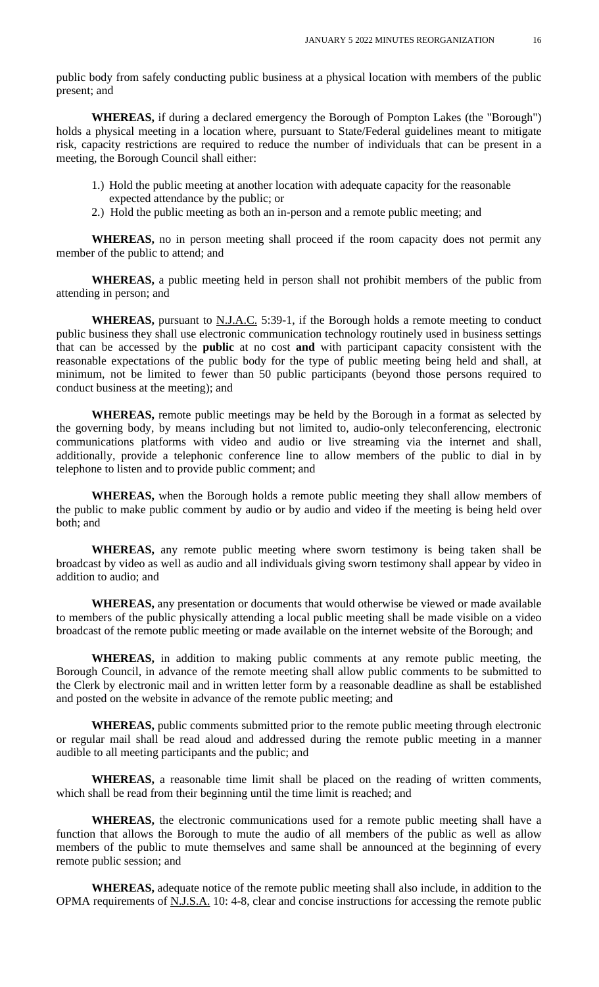public body from safely conducting public business at a physical location with members of the public present; and

**WHEREAS,** if during a declared emergency the Borough of Pompton Lakes (the "Borough") holds a physical meeting in a location where, pursuant to State/Federal guidelines meant to mitigate risk, capacity restrictions are required to reduce the number of individuals that can be present in a meeting, the Borough Council shall either:

- 1.) Hold the public meeting at another location with adequate capacity for the reasonable expected attendance by the public; or
- 2.) Hold the public meeting as both an in-person and a remote public meeting; and

**WHEREAS,** no in person meeting shall proceed if the room capacity does not permit any member of the public to attend; and

**WHEREAS,** a public meeting held in person shall not prohibit members of the public from attending in person; and

WHEREAS, pursuant to N.J.A.C. 5:39-1, if the Borough holds a remote meeting to conduct public business they shall use electronic communication technology routinely used in business settings that can be accessed by the **public** at no cost **and** with participant capacity consistent with the reasonable expectations of the public body for the type of public meeting being held and shall, at minimum, not be limited to fewer than 50 public participants (beyond those persons required to conduct business at the meeting); and

**WHEREAS,** remote public meetings may be held by the Borough in a format as selected by the governing body, by means including but not limited to, audio-only teleconferencing, electronic communications platforms with video and audio or live streaming via the internet and shall, additionally, provide a telephonic conference line to allow members of the public to dial in by telephone to listen and to provide public comment; and

**WHEREAS,** when the Borough holds a remote public meeting they shall allow members of the public to make public comment by audio or by audio and video if the meeting is being held over both; and

**WHEREAS,** any remote public meeting where sworn testimony is being taken shall be broadcast by video as well as audio and all individuals giving sworn testimony shall appear by video in addition to audio; and

**WHEREAS,** any presentation or documents that would otherwise be viewed or made available to members of the public physically attending a local public meeting shall be made visible on a video broadcast of the remote public meeting or made available on the internet website of the Borough; and

**WHEREAS,** in addition to making public comments at any remote public meeting, the Borough Council, in advance of the remote meeting shall allow public comments to be submitted to the Clerk by electronic mail and in written letter form by a reasonable deadline as shall be established and posted on the website in advance of the remote public meeting; and

**WHEREAS,** public comments submitted prior to the remote public meeting through electronic or regular mail shall be read aloud and addressed during the remote public meeting in a manner audible to all meeting participants and the public; and

**WHEREAS,** a reasonable time limit shall be placed on the reading of written comments, which shall be read from their beginning until the time limit is reached; and

**WHEREAS,** the electronic communications used for a remote public meeting shall have a function that allows the Borough to mute the audio of all members of the public as well as allow members of the public to mute themselves and same shall be announced at the beginning of every remote public session; and

**WHEREAS,** adequate notice of the remote public meeting shall also include, in addition to the OPMA requirements of N.J.S.A. 10: 4-8, clear and concise instructions for accessing the remote public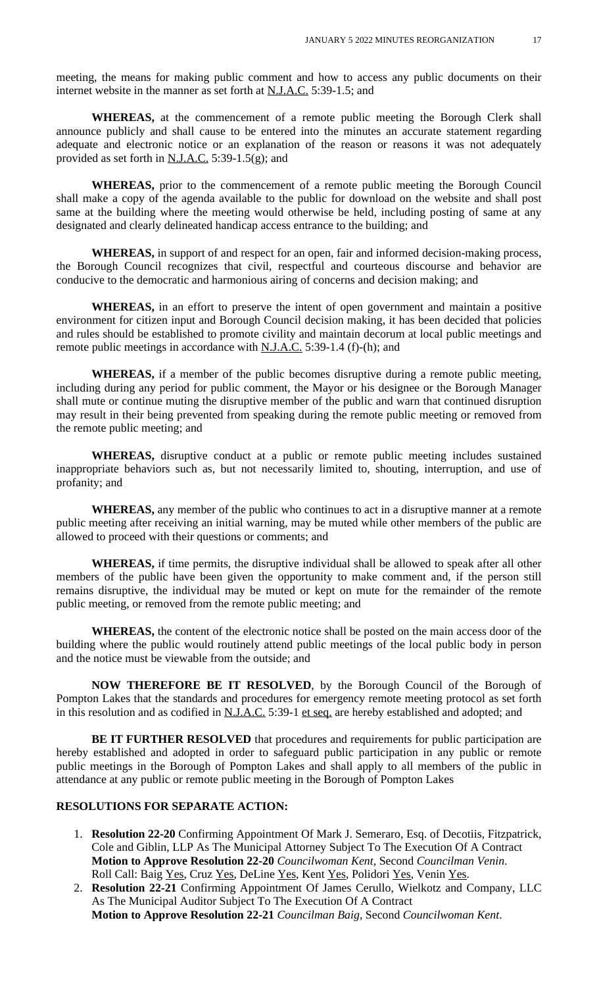meeting, the means for making public comment and how to access any public documents on their internet website in the manner as set forth at  $N.I.A.C.$  5:39-1.5; and

**WHEREAS,** at the commencement of a remote public meeting the Borough Clerk shall announce publicly and shall cause to be entered into the minutes an accurate statement regarding adequate and electronic notice or an explanation of the reason or reasons it was not adequately provided as set forth in  $N.L.A.C.$  5:39-1.5(g); and

**WHEREAS,** prior to the commencement of a remote public meeting the Borough Council shall make a copy of the agenda available to the public for download on the website and shall post same at the building where the meeting would otherwise be held, including posting of same at any designated and clearly delineated handicap access entrance to the building; and

**WHEREAS,** in support of and respect for an open, fair and informed decision-making process, the Borough Council recognizes that civil, respectful and courteous discourse and behavior are conducive to the democratic and harmonious airing of concerns and decision making; and

**WHEREAS,** in an effort to preserve the intent of open government and maintain a positive environment for citizen input and Borough Council decision making, it has been decided that policies and rules should be established to promote civility and maintain decorum at local public meetings and remote public meetings in accordance with N.J.A.C. 5:39-1.4 (f)-(h); and

**WHEREAS,** if a member of the public becomes disruptive during a remote public meeting, including during any period for public comment, the Mayor or his designee or the Borough Manager shall mute or continue muting the disruptive member of the public and warn that continued disruption may result in their being prevented from speaking during the remote public meeting or removed from the remote public meeting; and

**WHEREAS,** disruptive conduct at a public or remote public meeting includes sustained inappropriate behaviors such as, but not necessarily limited to, shouting, interruption, and use of profanity; and

**WHEREAS,** any member of the public who continues to act in a disruptive manner at a remote public meeting after receiving an initial warning, may be muted while other members of the public are allowed to proceed with their questions or comments; and

**WHEREAS,** if time permits, the disruptive individual shall be allowed to speak after all other members of the public have been given the opportunity to make comment and, if the person still remains disruptive, the individual may be muted or kept on mute for the remainder of the remote public meeting, or removed from the remote public meeting; and

**WHEREAS,** the content of the electronic notice shall be posted on the main access door of the building where the public would routinely attend public meetings of the local public body in person and the notice must be viewable from the outside; and

**NOW THEREFORE BE IT RESOLVED**, by the Borough Council of the Borough of Pompton Lakes that the standards and procedures for emergency remote meeting protocol as set forth in this resolution and as codified in N.J.A.C. 5:39-1 et seq. are hereby established and adopted; and

**BE IT FURTHER RESOLVED** that procedures and requirements for public participation are hereby established and adopted in order to safeguard public participation in any public or remote public meetings in the Borough of Pompton Lakes and shall apply to all members of the public in attendance at any public or remote public meeting in the Borough of Pompton Lakes

# **RESOLUTIONS FOR SEPARATE ACTION:**

- 1. **Resolution 22-20** Confirming Appointment Of Mark J. Semeraro, Esq. of Decotiis, Fitzpatrick, Cole and Giblin, LLP As The Municipal Attorney Subject To The Execution Of A Contract  **Motion to Approve Resolution 22-20** *Councilwoman Kent*, Second *Councilman Venin*. Roll Call: Baig Yes, Cruz Yes, DeLine Yes, Kent Yes, Polidori Yes, Venin Yes.
- 2. **Resolution 22-21** Confirming Appointment Of James Cerullo, Wielkotz and Company, LLC As The Municipal Auditor Subject To The Execution Of A Contract  **Motion to Approve Resolution 22-21** *Councilman Baig*, Second *Councilwoman Kent*.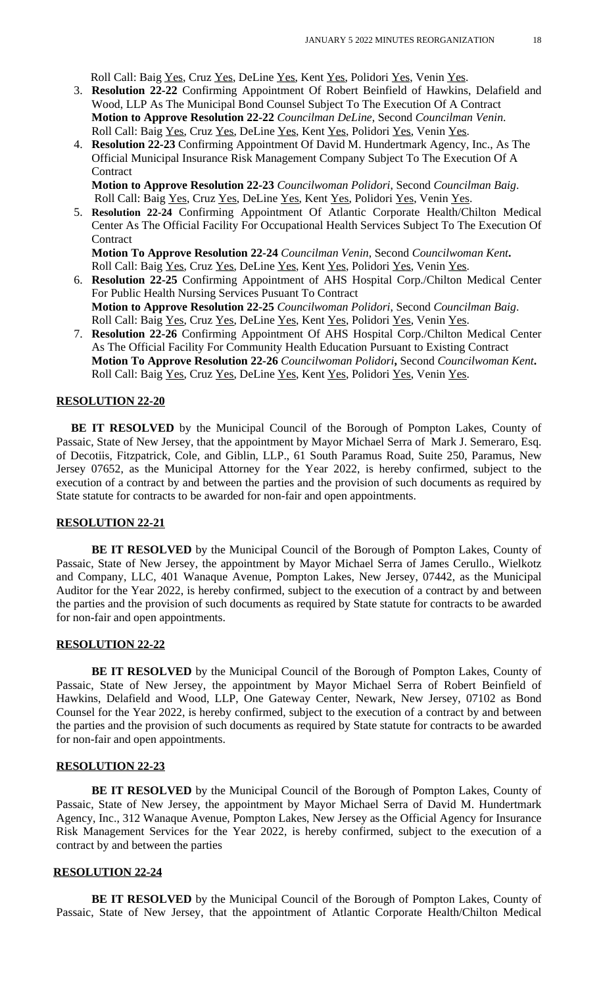Roll Call: Baig Yes, Cruz Yes, DeLine Yes, Kent Yes, Polidori Yes, Venin Yes.

- 3. **Resolution 22-22** Confirming Appointment Of Robert Beinfield of Hawkins, Delafield and Wood, LLP As The Municipal Bond Counsel Subject To The Execution Of A Contract **Motion to Approve Resolution 22-22** *Councilman DeLine*, Second *Councilman Venin*. Roll Call: Baig Yes, Cruz Yes, DeLine Yes, Kent Yes, Polidori Yes, Venin Yes.
- 4. **Resolution 22-23** Confirming Appointment Of David M. Hundertmark Agency, Inc., As The Official Municipal Insurance Risk Management Company Subject To The Execution Of A **Contract**

 **Motion to Approve Resolution 22-23** *Councilwoman Polidori*, Second *Councilman Baig*. Roll Call: Baig Yes, Cruz Yes, DeLine Yes, Kent Yes, Polidori Yes, Venin Yes.

5. **Resolution 22-24** Confirming Appointment Of Atlantic Corporate Health/Chilton Medical Center As The Official Facility For Occupational Health Services Subject To The Execution Of **Contract** 

**Motion To Approve Resolution 22-24** *Councilman Venin*, Second *Councilwoman Kent***.** Roll Call: Baig Yes, Cruz Yes, DeLine Yes, Kent Yes, Polidori Yes, Venin Yes.

- 6. **Resolution 22-25** Confirming Appointment of AHS Hospital Corp./Chilton Medical Center For Public Health Nursing Services Pusuant To Contract  **Motion to Approve Resolution 22-25** *Councilwoman Polidori*, Second *Councilman Baig*. Roll Call: Baig Yes, Cruz Yes, DeLine Yes, Kent Yes, Polidori Yes, Venin Yes.
- 7. **Resolution 22-26** Confirming Appointment Of AHS Hospital Corp./Chilton Medical Center As The Official Facility For Community Health Education Pursuant to Existing Contract  **Motion To Approve Resolution 22-26** *Councilwoman Polidori***,** Second *Councilwoman Kent***.** Roll Call: Baig Yes, Cruz Yes, DeLine Yes, Kent Yes, Polidori Yes, Venin Yes.

### **RESOLUTION 22-20**

**BE IT RESOLVED** by the Municipal Council of the Borough of Pompton Lakes, County of Passaic, State of New Jersey, that the appointment by Mayor Michael Serra of Mark J. Semeraro, Esq. of Decotiis, Fitzpatrick, Cole, and Giblin, LLP., 61 South Paramus Road, Suite 250, Paramus, New Jersey 07652, as the Municipal Attorney for the Year 2022, is hereby confirmed, subject to the execution of a contract by and between the parties and the provision of such documents as required by State statute for contracts to be awarded for non-fair and open appointments.

#### **RESOLUTION 22-21**

**BE IT RESOLVED** by the Municipal Council of the Borough of Pompton Lakes, County of Passaic, State of New Jersey, the appointment by Mayor Michael Serra of James Cerullo., Wielkotz and Company, LLC, 401 Wanaque Avenue, Pompton Lakes, New Jersey, 07442, as the Municipal Auditor for the Year 2022, is hereby confirmed, subject to the execution of a contract by and between the parties and the provision of such documents as required by State statute for contracts to be awarded for non-fair and open appointments.

#### **RESOLUTION 22-22**

**BE IT RESOLVED** by the Municipal Council of the Borough of Pompton Lakes, County of Passaic, State of New Jersey, the appointment by Mayor Michael Serra of Robert Beinfield of Hawkins, Delafield and Wood, LLP, One Gateway Center, Newark, New Jersey, 07102 as Bond Counsel for the Year 2022, is hereby confirmed, subject to the execution of a contract by and between the parties and the provision of such documents as required by State statute for contracts to be awarded for non-fair and open appointments.

#### **RESOLUTION 22-23**

**BE IT RESOLVED** by the Municipal Council of the Borough of Pompton Lakes, County of Passaic, State of New Jersey, the appointment by Mayor Michael Serra of David M. Hundertmark Agency, Inc., 312 Wanaque Avenue, Pompton Lakes, New Jersey as the Official Agency for Insurance Risk Management Services for the Year 2022, is hereby confirmed, subject to the execution of a contract by and between the parties

#### **RESOLUTION 22-24**

 **BE IT RESOLVED** by the Municipal Council of the Borough of Pompton Lakes, County of Passaic, State of New Jersey, that the appointment of Atlantic Corporate Health/Chilton Medical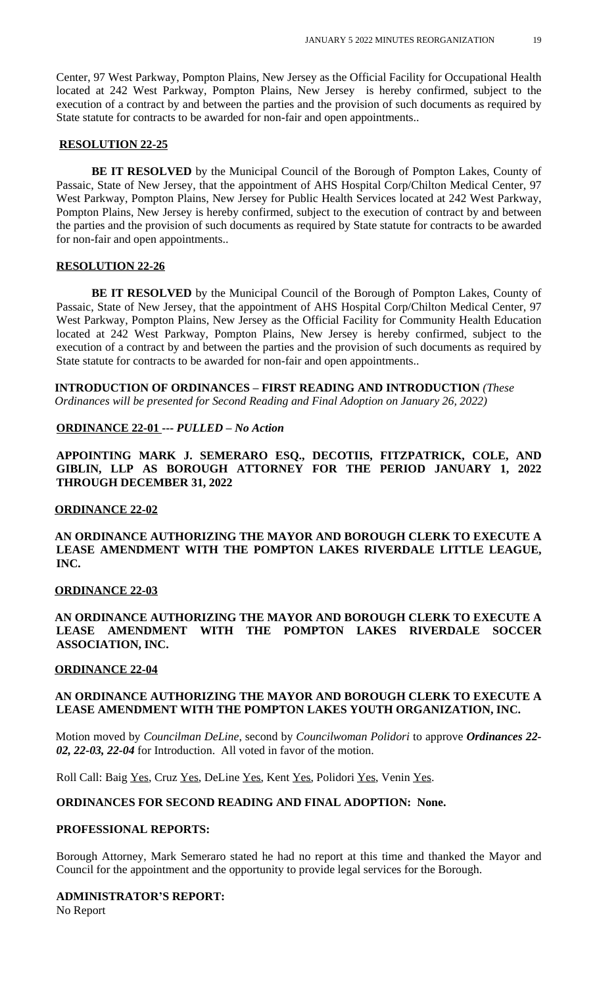Center, 97 West Parkway, Pompton Plains, New Jersey as the Official Facility for Occupational Health located at 242 West Parkway, Pompton Plains, New Jersey is hereby confirmed, subject to the execution of a contract by and between the parties and the provision of such documents as required by State statute for contracts to be awarded for non-fair and open appointments..

#### **RESOLUTION 22-25**

**BE IT RESOLVED** by the Municipal Council of the Borough of Pompton Lakes, County of Passaic, State of New Jersey, that the appointment of AHS Hospital Corp/Chilton Medical Center, 97 West Parkway, Pompton Plains, New Jersey for Public Health Services located at 242 West Parkway, Pompton Plains, New Jersey is hereby confirmed, subject to the execution of contract by and between the parties and the provision of such documents as required by State statute for contracts to be awarded for non-fair and open appointments..

#### **RESOLUTION 22-26**

**BE IT RESOLVED** by the Municipal Council of the Borough of Pompton Lakes, County of Passaic, State of New Jersey, that the appointment of AHS Hospital Corp/Chilton Medical Center, 97 West Parkway, Pompton Plains, New Jersey as the Official Facility for Community Health Education located at 242 West Parkway, Pompton Plains, New Jersey is hereby confirmed, subject to the execution of a contract by and between the parties and the provision of such documents as required by State statute for contracts to be awarded for non-fair and open appointments..

 **INTRODUCTION OF ORDINANCES – FIRST READING AND INTRODUCTION** *(These Ordinances will be presented for Second Reading and Final Adoption on January 26, 2022)*

### **ORDINANCE 22-01 ---** *PULLED – No Action*

**APPOINTING MARK J. SEMERARO ESQ., DECOTIIS, FITZPATRICK, COLE, AND GIBLIN, LLP AS BOROUGH ATTORNEY FOR THE PERIOD JANUARY 1, 2022 THROUGH DECEMBER 31, 2022**

#### **ORDINANCE 22-02**

**AN ORDINANCE AUTHORIZING THE MAYOR AND BOROUGH CLERK TO EXECUTE A LEASE AMENDMENT WITH THE POMPTON LAKES RIVERDALE LITTLE LEAGUE, INC.**

### **ORDINANCE 22-03**

**AN ORDINANCE AUTHORIZING THE MAYOR AND BOROUGH CLERK TO EXECUTE A LEASE AMENDMENT WITH THE POMPTON LAKES RIVERDALE SOCCER ASSOCIATION, INC.**

### **ORDINANCE 22-04**

### **AN ORDINANCE AUTHORIZING THE MAYOR AND BOROUGH CLERK TO EXECUTE A LEASE AMENDMENT WITH THE POMPTON LAKES YOUTH ORGANIZATION, INC.**

Motion moved by *Councilman DeLine*, second by *Councilwoman Polidori* to approve *Ordinances 22- 02, 22-03, 22-04* for Introduction. All voted in favor of the motion.

Roll Call: Baig Yes, Cruz Yes, DeLine Yes, Kent Yes, Polidori Yes, Venin Yes.

### **ORDINANCES FOR SECOND READING AND FINAL ADOPTION: None.**

#### **PROFESSIONAL REPORTS:**

Borough Attorney, Mark Semeraro stated he had no report at this time and thanked the Mayor and Council for the appointment and the opportunity to provide legal services for the Borough.

### **ADMINISTRATOR'S REPORT:**

No Report